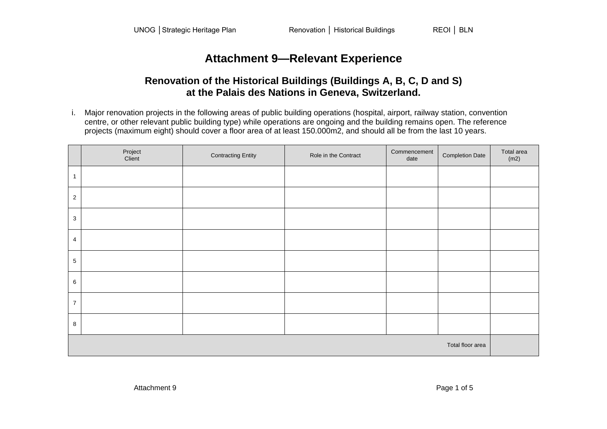## **Attachment 9—Relevant Experience**

## **Renovation of the Historical Buildings (Buildings A, B, C, D and S) at the Palais des Nations in Geneva, Switzerland.**

i. Major renovation projects in the following areas of public building operations (hospital, airport, railway station, convention centre, or other relevant public building type) while operations are ongoing and the building remains open. The reference projects (maximum eight) should cover a floor area of at least 150.000m2, and should all be from the last 10 years.

|                  | Project<br>Client | <b>Contracting Entity</b> | Role in the Contract | Commencement<br>date | <b>Completion Date</b> | Total area<br>(m2) |
|------------------|-------------------|---------------------------|----------------------|----------------------|------------------------|--------------------|
| $\mathbf{1}$     |                   |                           |                      |                      |                        |                    |
| $\sqrt{2}$       |                   |                           |                      |                      |                        |                    |
| $\mathbf 3$      |                   |                           |                      |                      |                        |                    |
| $\overline{4}$   |                   |                           |                      |                      |                        |                    |
| $\sqrt{5}$       |                   |                           |                      |                      |                        |                    |
| $\,6\,$          |                   |                           |                      |                      |                        |                    |
| $\overline{7}$   |                   |                           |                      |                      |                        |                    |
| $\,8\,$          |                   |                           |                      |                      |                        |                    |
| Total floor area |                   |                           |                      |                      |                        |                    |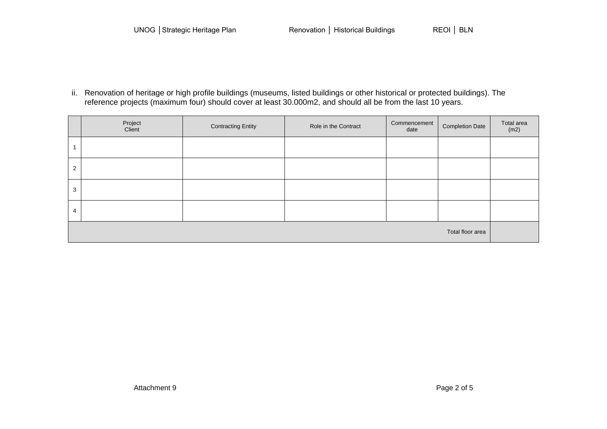ii. Renovation of heritage or high profile buildings (museums, listed buildings or other historical or protected buildings). The reference projects (maximum four) should cover at least 30.000m2, and should all be from the last 10 years.

|                  | Project<br>Client | <b>Contracting Entity</b> | Role in the Contract | Commencement<br>date | <b>Completion Date</b> | Total area<br>(m2) |
|------------------|-------------------|---------------------------|----------------------|----------------------|------------------------|--------------------|
|                  |                   |                           |                      |                      |                        |                    |
| 2                |                   |                           |                      |                      |                        |                    |
| 3                |                   |                           |                      |                      |                        |                    |
| 4                |                   |                           |                      |                      |                        |                    |
| Total floor area |                   |                           |                      |                      |                        |                    |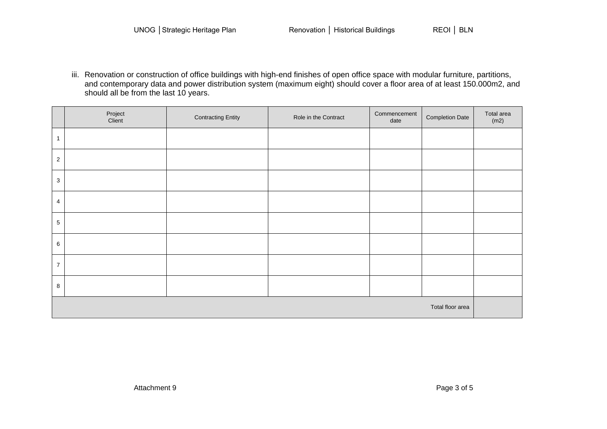iii. Renovation or construction of office buildings with high-end finishes of open office space with modular furniture, partitions, and contemporary data and power distribution system (maximum eight) should cover a floor area of at least 150.000m2, and should all be from the last 10 years.

|                  | Project<br>Client | <b>Contracting Entity</b> | Role in the Contract | Commencement<br>date | <b>Completion Date</b> | Total area<br>(m2) |
|------------------|-------------------|---------------------------|----------------------|----------------------|------------------------|--------------------|
| $\mathbf{1}$     |                   |                           |                      |                      |                        |                    |
| $\overline{c}$   |                   |                           |                      |                      |                        |                    |
| 3                |                   |                           |                      |                      |                        |                    |
| $\overline{4}$   |                   |                           |                      |                      |                        |                    |
| $\sqrt{5}$       |                   |                           |                      |                      |                        |                    |
| $\,6\,$          |                   |                           |                      |                      |                        |                    |
| $\overline{7}$   |                   |                           |                      |                      |                        |                    |
| $\,8\,$          |                   |                           |                      |                      |                        |                    |
| Total floor area |                   |                           |                      |                      |                        |                    |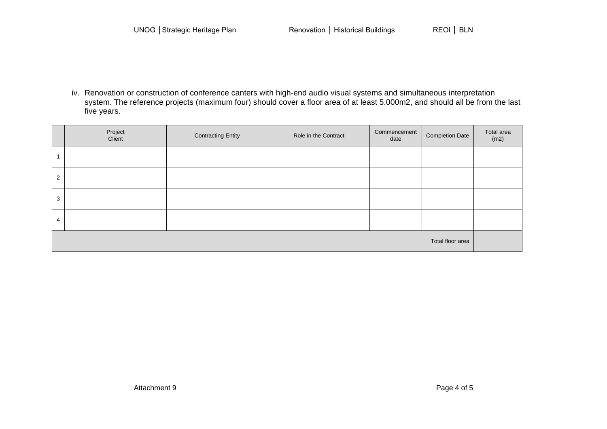iv. Renovation or construction of conference canters with high-end audio visual systems and simultaneous interpretation system. The reference projects (maximum four) should cover a floor area of at least 5.000m2, and should all be from the last five years.

|                  | Project<br>Client | <b>Contracting Entity</b> | Role in the Contract | Commencement<br>date | <b>Completion Date</b> | Total area<br>(m2) |
|------------------|-------------------|---------------------------|----------------------|----------------------|------------------------|--------------------|
|                  |                   |                           |                      |                      |                        |                    |
| $\overline{2}$   |                   |                           |                      |                      |                        |                    |
| 3                |                   |                           |                      |                      |                        |                    |
| 4                |                   |                           |                      |                      |                        |                    |
| Total floor area |                   |                           |                      |                      |                        |                    |